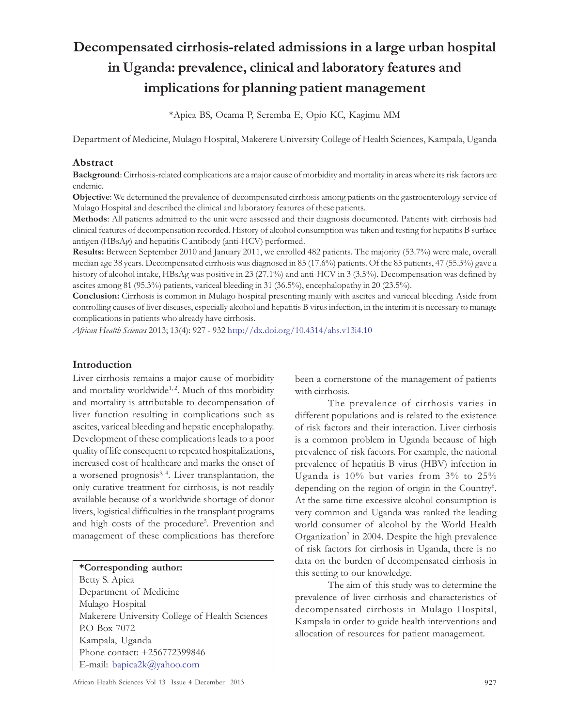# Decompensated cirrhosis-related admissions in a large urban hospital in Uganda: prevalence, clinical and laboratory features and implications for planning patient management

\*Apica BS, Ocama P, Seremba E, Opio KC, Kagimu MM

Department of Medicine, Mulago Hospital, Makerere University College of Health Sciences, Kampala, Uganda

#### Abstract

Background: Cirrhosis-related complications are a major cause of morbidity and mortality in areas where its risk factors are endemic.

Objective: We determined the prevalence of decompensated cirrhosis among patients on the gastroenterology service of Mulago Hospital and described the clinical and laboratory features of these patients.

Methods: All patients admitted to the unit were assessed and their diagnosis documented. Patients with cirrhosis had clinical features of decompensation recorded. History of alcohol consumption was taken and testing for hepatitis B surface antigen (HBsAg) and hepatitis C antibody (anti-HCV) performed.

Results: Between September 2010 and January 2011, we enrolled 482 patients. The majority (53.7%) were male, overall median age 38 years. Decompensated cirrhosis was diagnosed in 85 (17.6%) patients. Of the 85 patients, 47 (55.3%) gave a history of alcohol intake, HBsAg was positive in 23 (27.1%) and anti-HCV in 3 (3.5%). Decompensation was defined by ascites among 81 (95.3%) patients, variceal bleeding in 31 (36.5%), encephalopathy in 20 (23.5%).

Conclusion: Cirrhosis is common in Mulago hospital presenting mainly with ascites and variceal bleeding. Aside from controlling causes of liver diseases, especially alcohol and hepatitis B virus infection, in the interim it is necessary to manage complications in patients who already have cirrhosis.

African Health Sciences 2013; 13(4): 927 - 932 http://dx.doi.org/10.4314/ahs.v13i4.10

#### Introduction

Liver cirrhosis remains a major cause of morbidity and mortality worldwide<sup>1, 2</sup>. Much of this morbidity and mortality is attributable to decompensation of liver function resulting in complications such as ascites, variceal bleeding and hepatic encephalopathy. Development of these complications leads to a poor quality of life consequent to repeated hospitalizations, increased cost of healthcare and marks the onset of a worsened prognosis<sup>3, 4</sup>. Liver transplantation, the only curative treatment for cirrhosis, is not readily available because of a worldwide shortage of donor livers, logistical difficulties in the transplant programs and high costs of the procedure<sup>5</sup>. Prevention and management of these complications has therefore

| *Corresponding author:                         |
|------------------------------------------------|
| Betty S. Apica                                 |
| Department of Medicine                         |
| Mulago Hospital                                |
| Makerere University College of Health Sciences |
| P.O Box 7072                                   |
| Kampala, Uganda                                |
| Phone contact: +256772399846                   |
| E-mail: bapica2k@yahoo.com                     |

been a cornerstone of the management of patients with cirrhosis.

The prevalence of cirrhosis varies in different populations and is related to the existence of risk factors and their interaction. Liver cirrhosis is a common problem in Uganda because of high prevalence of risk factors. For example, the national prevalence of hepatitis B virus (HBV) infection in Uganda is 10% but varies from 3% to 25% depending on the region of origin in the Country<sup>6</sup>. At the same time excessive alcohol consumption is very common and Uganda was ranked the leading world consumer of alcohol by the World Health Organization<sup>7</sup> in 2004. Despite the high prevalence of risk factors for cirrhosis in Uganda, there is no data on the burden of decompensated cirrhosis in this setting to our knowledge.

The aim of this study was to determine the prevalence of liver cirrhosis and characteristics of decompensated cirrhosis in Mulago Hospital, Kampala in order to guide health interventions and allocation of resources for patient management.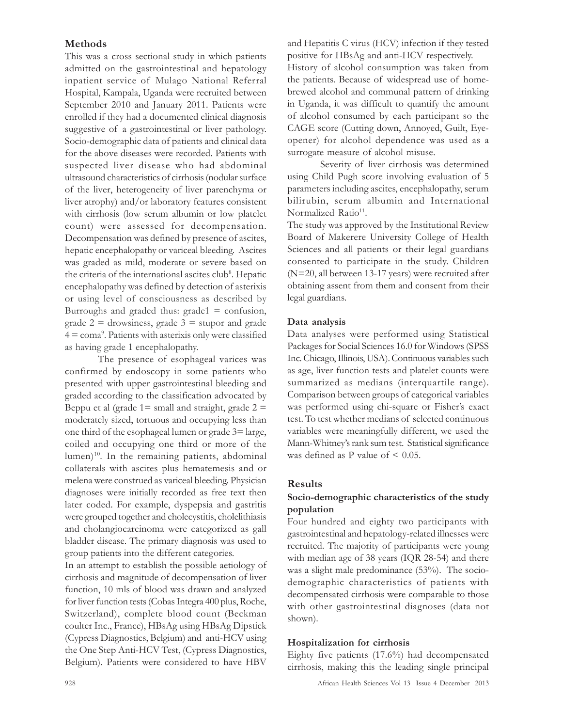## Methods

This was a cross sectional study in which patients admitted on the gastrointestinal and hepatology inpatient service of Mulago National Referral Hospital, Kampala, Uganda were recruited between September 2010 and January 2011. Patients were enrolled if they had a documented clinical diagnosis suggestive of a gastrointestinal or liver pathology. Socio-demographic data of patients and clinical data for the above diseases were recorded. Patients with suspected liver disease who had abdominal ultrasound characteristics of cirrhosis (nodular surface of the liver, heterogeneity of liver parenchyma or liver atrophy) and/or laboratory features consistent with cirrhosis (low serum albumin or low platelet count) were assessed for decompensation. Decompensation was defined by presence of ascites, hepatic encephalopathy or variceal bleeding. Ascites was graded as mild, moderate or severe based on the criteria of the international ascites club<sup>8</sup>. Hepatic encephalopathy was defined by detection of asterixis or using level of consciousness as described by Burroughs and graded thus:  $\text{grade}1 = \text{confusion}$ , grade  $2 =$  drowsiness, grade  $3 =$  stupor and grade 4 = coma<sup>9</sup> . Patients with asterixis only were classified as having grade 1 encephalopathy.

The presence of esophageal varices was confirmed by endoscopy in some patients who presented with upper gastrointestinal bleeding and graded according to the classification advocated by Beppu et al (grade  $1=$  small and straight, grade  $2=$ moderately sized, tortuous and occupying less than one third of the esophageal lumen or grade 3= large, coiled and occupying one third or more of the lumen)<sup>10</sup>. In the remaining patients, abdominal collaterals with ascites plus hematemesis and or melena were construed as variceal bleeding. Physician diagnoses were initially recorded as free text then later coded. For example, dyspepsia and gastritis were grouped together and cholecystitis, cholelithiasis and cholangiocarcinoma were categorized as gall bladder disease. The primary diagnosis was used to group patients into the different categories.

In an attempt to establish the possible aetiology of cirrhosis and magnitude of decompensation of liver function, 10 mls of blood was drawn and analyzed for liver function tests (Cobas Integra 400 plus, Roche, Switzerland), complete blood count (Beckman coulter Inc., France), HBsAg using HBsAg Dipstick (Cypress Diagnostics, Belgium) and anti-HCV using the One Step Anti-HCV Test, (Cypress Diagnostics, Belgium). Patients were considered to have HBV

and Hepatitis C virus (HCV) infection if they tested positive for HBsAg and anti-HCV respectively. History of alcohol consumption was taken from the patients. Because of widespread use of homebrewed alcohol and communal pattern of drinking in Uganda, it was difficult to quantify the amount of alcohol consumed by each participant so the CAGE score (Cutting down, Annoyed, Guilt, Eyeopener) for alcohol dependence was used as a surrogate measure of alcohol misuse.

Severity of liver cirrhosis was determined using Child Pugh score involving evaluation of 5 parameters including ascites, encephalopathy, serum bilirubin, serum albumin and International Normalized Ratio<sup>11</sup>.

The study was approved by the Institutional Review Board of Makerere University College of Health Sciences and all patients or their legal guardians consented to participate in the study. Children (N=20, all between 13-17 years) were recruited after obtaining assent from them and consent from their legal guardians.

#### Data analysis

Data analyses were performed using Statistical Packages for Social Sciences 16.0 for Windows (SPSS Inc. Chicago, Illinois, USA). Continuous variables such as age, liver function tests and platelet counts were summarized as medians (interquartile range). Comparison between groups of categorical variables was performed using chi-square or Fisher's exact test. To test whether medians of selected continuous variables were meaningfully different, we used the Mann-Whitney's rank sum test. Statistical significance was defined as P value of < 0.05.

#### Results

### Socio-demographic characteristics of the study population

Four hundred and eighty two participants with gastrointestinal and hepatology-related illnesses were recruited. The majority of participants were young with median age of 38 years (IQR 28-54) and there was a slight male predominance (53%). The sociodemographic characteristics of patients with decompensated cirrhosis were comparable to those with other gastrointestinal diagnoses (data not shown).

#### Hospitalization for cirrhosis

Eighty five patients (17.6%) had decompensated cirrhosis, making this the leading single principal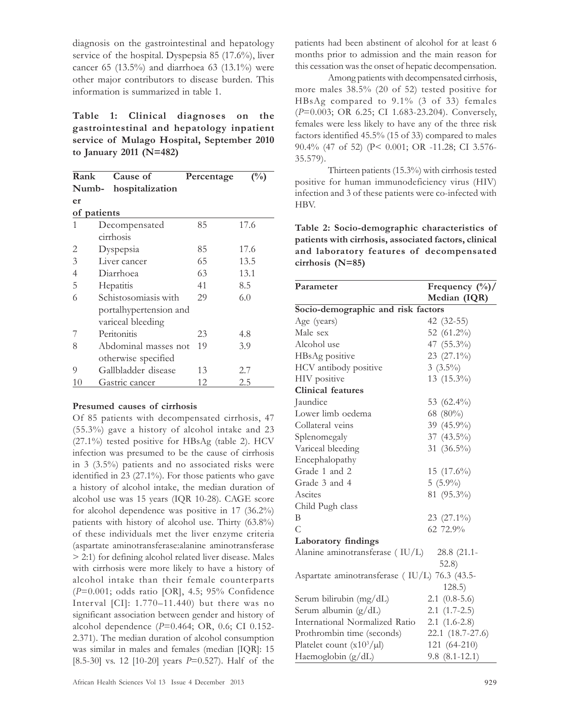diagnosis on the gastrointestinal and hepatology service of the hospital. Dyspepsia 85 (17.6%), liver cancer 65 (13.5%) and diarrhoea 63 (13.1%) were other major contributors to disease burden. This information is summarized in table 1.

Table 1: Clinical diagnoses on the gastrointestinal and hepatology inpatient service of Mulago Hospital, September 2010 to January 2011 (N=482)

| Rank                     | Cause of               | Percentage | (%)  |  |
|--------------------------|------------------------|------------|------|--|
| hospitalization<br>Numb- |                        |            |      |  |
| er                       |                        |            |      |  |
| of patients              |                        |            |      |  |
| 1                        | Decompensated          | 85         | 17.6 |  |
|                          | cirrhosis              |            |      |  |
| 2                        | Dyspepsia              | 85         | 17.6 |  |
| 3                        | Liver cancer           | 65         | 13.5 |  |
| $\overline{4}$           | Diarrhoea              | 63         | 13.1 |  |
| 5                        | Hepatitis              | 41         | 8.5  |  |
| 6                        | Schistosomiasis with   | 29         | 6.0  |  |
|                          | portalhypertension and |            |      |  |
|                          | variceal bleeding      |            |      |  |
| 7                        | Peritonitis            | 23         | 4.8  |  |
| 8                        | Abdominal masses not   | 19         | 3.9  |  |
|                          | otherwise specified    |            |      |  |
| 9                        | Gallbladder disease    | 13         | 2.7  |  |
| 10                       | Gastric cancer         | 12         | 2.5  |  |

#### Presumed causes of cirrhosis

Of 85 patients with decompensated cirrhosis, 47 (55.3%) gave a history of alcohol intake and 23 (27.1%) tested positive for HBsAg (table 2). HCV infection was presumed to be the cause of cirrhosis in 3 (3.5%) patients and no associated risks were identified in 23 (27.1%). For those patients who gave a history of alcohol intake, the median duration of alcohol use was 15 years (IQR 10-28). CAGE score for alcohol dependence was positive in 17 (36.2%) patients with history of alcohol use. Thirty (63.8%) of these individuals met the liver enzyme criteria (aspartate aminotransferase:alanine aminotransferase > 2:1) for defining alcohol related liver disease. Males with cirrhosis were more likely to have a history of alcohol intake than their female counterparts (P=0.001; odds ratio [OR], 4.5; 95% Confidence Interval [CI]: 1.770–11.440) but there was no significant association between gender and history of alcohol dependence (P=0.464; OR, 0.6; CI 0.152- 2.371). The median duration of alcohol consumption was similar in males and females (median [IQR]: 15 [8.5-30] vs. 12 [10-20] years  $P=0.527$ ). Half of the patients had been abstinent of alcohol for at least 6 months prior to admission and the main reason for this cessation was the onset of hepatic decompensation.

Among patients with decompensated cirrhosis, more males 38.5% (20 of 52) tested positive for HBsAg compared to 9.1% (3 of 33) females (P=0.003; OR 6.25; CI 1.683-23.204). Conversely, females were less likely to have any of the three risk factors identified 45.5% (15 of 33) compared to males 90.4% (47 of 52) (P< 0.001; OR -11.28; CI 3.576- 35.579).

Thirteen patients (15.3%) with cirrhosis tested positive for human immunodeficiency virus (HIV) infection and 3 of these patients were co-infected with HBV.

Table 2: Socio-demographic characteristics of patients with cirrhosis, associated factors, clinical and laboratory features of decompensated cirrhosis (N=85)

| Parameter                                     | Frequency $(\frac{0}{0})$ / |  |  |  |
|-----------------------------------------------|-----------------------------|--|--|--|
|                                               | Median (IQR)                |  |  |  |
| Socio-demographic and risk factors            |                             |  |  |  |
| Age (years)                                   | 42 (32-55)                  |  |  |  |
| Male sex                                      | 52 (61.2%)                  |  |  |  |
| Alcohol use                                   | 47 (55.3%)                  |  |  |  |
| HBsAg positive                                | $23(27.1\%)$                |  |  |  |
| HCV antibody positive                         | $3(3.5\%)$                  |  |  |  |
| HIV positive                                  | 13 (15.3%)                  |  |  |  |
| <b>Clinical features</b>                      |                             |  |  |  |
| Jaundice                                      | 53 $(62.4\%)$               |  |  |  |
| Lower limb oedema                             | 68 (80%)                    |  |  |  |
| Collateral veins                              | 39 (45.9%)                  |  |  |  |
| Splenomegaly                                  | 37 (43.5%)                  |  |  |  |
| Variceal bleeding                             | 31 $(36.5\%)$               |  |  |  |
| Encephalopathy                                |                             |  |  |  |
| Grade 1 and 2                                 | 15 $(17.6\%)$               |  |  |  |
| Grade 3 and 4                                 | $5(5.9\%)$                  |  |  |  |
| Ascites                                       | 81 (95.3%)                  |  |  |  |
| Child Pugh class                              |                             |  |  |  |
| B                                             | 23 (27.1%)                  |  |  |  |
| C                                             | 62 72.9%                    |  |  |  |
| Laboratory findings                           |                             |  |  |  |
| Alanine aminotransferase (IU/L)               | 28.8 (21.1-                 |  |  |  |
|                                               | 52.8)                       |  |  |  |
| Aspartate aminotransferase (IU/L) 76.3 (43.5- |                             |  |  |  |
|                                               | 128.5)                      |  |  |  |
| Serum bilirubin (mg/dL)                       | $2.1 \ (0.8-5.6)$           |  |  |  |
| Serum albumin (g/dL)                          | $2.1(1.7-2.5)$              |  |  |  |
| International Normalized Ratio                | $2.1(1.6-2.8)$              |  |  |  |
| Prothrombin time (seconds)                    | 22.1 (18.7-27.6)            |  |  |  |
| Platelet count $(x10^3/\mu l)$                | 121 (64-210)                |  |  |  |
| Haemoglobin (g/dL)                            | $9.8(8.1-12.1)$             |  |  |  |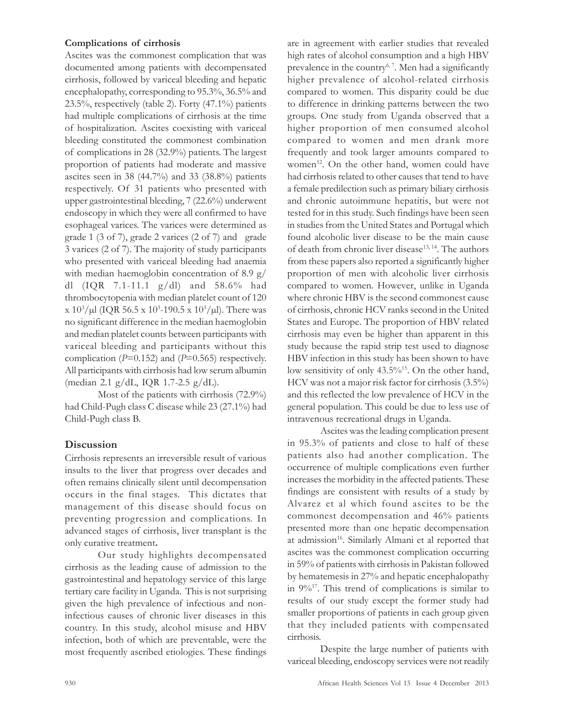#### Complications of cirrhosis

Ascites was the commonest complication that was documented among patients with decompensated cirrhosis, followed by variceal bleeding and hepatic encephalopathy, corresponding to 95.3%, 36.5% and 23.5%, respectively (table 2). Forty (47.1%) patients had multiple complications of cirrhosis at the time of hospitalization. Ascites coexisting with variceal bleeding constituted the commonest combination of complications in 28 (32.9%) patients. The largest proportion of patients had moderate and massive ascites seen in 38 (44.7%) and 33 (38.8%) patients respectively. Of 31 patients who presented with upper gastrointestinal bleeding, 7 (22.6%) underwent endoscopy in which they were all confirmed to have esophageal varices. The varices were determined as grade 1 (3 of 7), grade 2 varices (2 of 7) and grade 3 varices (2 of 7). The majority of study participants who presented with variceal bleeding had anaemia with median haemoglobin concentration of 8.9 g/ dl (IQR 7.1-11.1 g/dl) and 58.6% had thrombocytopenia with median platelet count of 120 x 10<sup>3</sup>/µl (IQR 56.5 x 10<sup>3</sup>-190.5 x 10<sup>3</sup>/µl). There was no significant difference in the median haemoglobin and median platelet counts between participants with variceal bleeding and participants without this complication ( $P=0.152$ ) and ( $P=0.565$ ) respectively. All participants with cirrhosis had low serum albumin (median 2.1 g/dL, IQR 1.7-2.5 g/dL).

Most of the patients with cirrhosis (72.9%) had Child-Pugh class C disease while 23 (27.1%) had Child-Pugh class B.

## **Discussion**

Cirrhosis represents an irreversible result of various insults to the liver that progress over decades and often remains clinically silent until decompensation occurs in the final stages. This dictates that management of this disease should focus on preventing progression and complications. In advanced stages of cirrhosis, liver transplant is the only curative treatment.

Our study highlights decompensated cirrhosis as the leading cause of admission to the gastrointestinal and hepatology service of this large tertiary care facility in Uganda. This is not surprising given the high prevalence of infectious and noninfectious causes of chronic liver diseases in this country. In this study, alcohol misuse and HBV infection, both of which are preventable, were the most frequently ascribed etiologies. These findings are in agreement with earlier studies that revealed high rates of alcohol consumption and a high HBV prevalence in the country<sup> $6, 7$ </sup>. Men had a significantly higher prevalence of alcohol-related cirrhosis compared to women. This disparity could be due to difference in drinking patterns between the two groups. One study from Uganda observed that a higher proportion of men consumed alcohol compared to women and men drank more frequently and took larger amounts compared to women<sup>12</sup>. On the other hand, women could have had cirrhosis related to other causes that tend to have a female predilection such as primary biliary cirrhosis and chronic autoimmune hepatitis, but were not tested for in this study. Such findings have been seen in studies from the United States and Portugal which found alcoholic liver disease to be the main cause of death from chronic liver disease<sup>13, 14</sup>. The authors from these papers also reported a significantly higher proportion of men with alcoholic liver cirrhosis compared to women. However, unlike in Uganda where chronic HBV is the second commonest cause of cirrhosis, chronic HCV ranks second in the United States and Europe. The proportion of HBV related cirrhosis may even be higher than apparent in this study because the rapid strip test used to diagnose HBV infection in this study has been shown to have low sensitivity of only 43.5%<sup>15</sup>. On the other hand, HCV was not a major risk factor for cirrhosis (3.5%) and this reflected the low prevalence of HCV in the general population. This could be due to less use of intravenous recreational drugs in Uganda.

Ascites was the leading complication present in 95.3% of patients and close to half of these patients also had another complication. The occurrence of multiple complications even further increases the morbidity in the affected patients. These findings are consistent with results of a study by Alvarez et al which found ascites to be the commonest decompensation and 46% patients presented more than one hepatic decompensation at admission<sup>16</sup>. Similarly Almani et al reported that ascites was the commonest complication occurring in 59% of patients with cirrhosis in Pakistan followed by hematemesis in 27% and hepatic encephalopathy in 9%<sup>17</sup>. This trend of complications is similar to results of our study except the former study had smaller proportions of patients in each group given that they included patients with compensated cirrhosis.

Despite the large number of patients with variceal bleeding, endoscopy services were not readily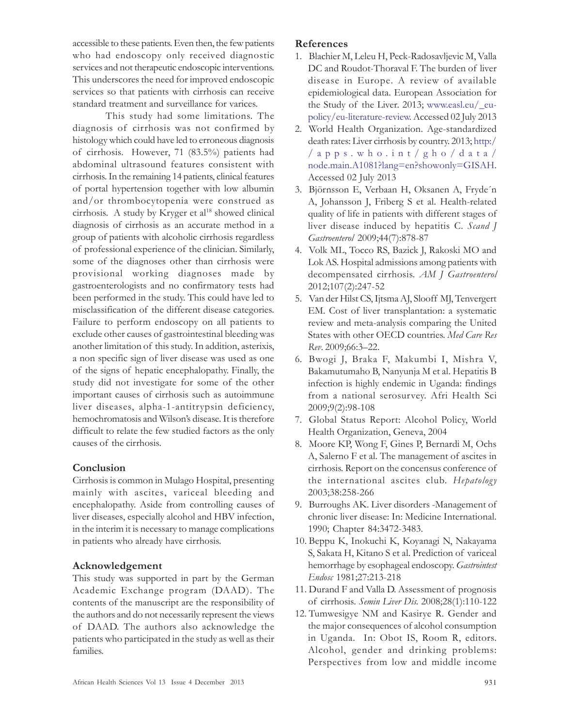accessible to these patients. Even then, the few patients who had endoscopy only received diagnostic services and not therapeutic endoscopic interventions. This underscores the need for improved endoscopic services so that patients with cirrhosis can receive standard treatment and surveillance for varices.

This study had some limitations. The diagnosis of cirrhosis was not confirmed by histology which could have led to erroneous diagnosis of cirrhosis. However, 71 (83.5%) patients had abdominal ultrasound features consistent with cirrhosis. In the remaining 14 patients, clinical features of portal hypertension together with low albumin and/or thrombocytopenia were construed as cirrhosis. A study by Kryger et al<sup>18</sup> showed clinical diagnosis of cirrhosis as an accurate method in a group of patients with alcoholic cirrhosis regardless of professional experience of the clinician. Similarly, some of the diagnoses other than cirrhosis were provisional working diagnoses made by gastroenterologists and no confirmatory tests had been performed in the study. This could have led to misclassification of the different disease categories. Failure to perform endoscopy on all patients to exclude other causes of gastrointestinal bleeding was another limitation of this study. In addition, asterixis, a non specific sign of liver disease was used as one of the signs of hepatic encephalopathy. Finally, the study did not investigate for some of the other important causes of cirrhosis such as autoimmune liver diseases, alpha-1-antitrypsin deficiency, hemochromatosis and Wilson's disease. It is therefore difficult to relate the few studied factors as the only causes of the cirrhosis.

## Conclusion

Cirrhosis is common in Mulago Hospital, presenting mainly with ascites, variceal bleeding and encephalopathy. Aside from controlling causes of liver diseases, especially alcohol and HBV infection, in the interim it is necessary to manage complications in patients who already have cirrhosis.

## Acknowledgement

This study was supported in part by the German Academic Exchange program (DAAD). The contents of the manuscript are the responsibility of the authors and do not necessarily represent the views of DAAD. The authors also acknowledge the patients who participated in the study as well as their families.

## References

- 1. Blachier M, Leleu H, Peck-Radosavljevic M, Valla DC and Roudot-Thoraval F. The burden of liver disease in Europe. A review of available epidemiological data. European Association for the Study of the Liver. 2013; www.easl.eu/\_eupolicy/eu-literature-review. Accessed 02 July 2013
- 2. World Health Organization. Age-standardized death rates: Liver cirrhosis by country. 2013; http:/ / a pps . w h o .int/gho/da ta/ node.main.A1081?lang=en?showonly=GISAH. Accessed 02 July 2013
- 3. Björnsson E, Verbaan H, Oksanen A, Fryde´n A, Johansson J, Friberg S et al. Health-related quality of life in patients with different stages of liver disease induced by hepatitis C. Scand J Gastroenterol 2009;44(7):878-87
- 4. Volk ML, Tocco RS, Bazick J, Rakoski MO and Lok AS. Hospital admissions among patients with decompensated cirrhosis. AM J Gastroenterol 2012;107(2):247-52
- 5. Van der Hilst CS, Ijtsma AJ, Slooff MJ, Tenvergert EM. Cost of liver transplantation: a systematic review and meta-analysis comparing the United States with other OECD countries. Med Care Res Rev. 2009;66:3–22.
- 6. Bwogi J, Braka F, Makumbi I, Mishra V, Bakamutumaho B, Nanyunja M et al. Hepatitis B infection is highly endemic in Uganda: findings from a national serosurvey. Afri Health Sci 2009;9(2):98-108
- 7. Global Status Report: Alcohol Policy, World Health Organization, Geneva, 2004
- 8. Moore KP, Wong F, Gines P, Bernardi M, Ochs A, Salerno F et al. The management of ascites in cirrhosis. Report on the concensus conference of the international ascites club. Hepatology 2003;38:258-266
- 9. Burroughs AK. Liver disorders -Management of chronic liver disease: In: Medicine International. 1990; Chapter 84:3472-3483.
- 10. Beppu K, Inokuchi K, Koyanagi N, Nakayama S, Sakata H, Kitano S et al. Prediction of variceal hemorrhage by esophageal endoscopy. Gastrointest Endosc 1981;27:213-218
- 11. Durand F and Valla D. Assessment of prognosis of cirrhosis. Semin Liver Dis. 2008;28(1):110-122
- 12. Tumwesigye NM and Kasirye R. Gender and the major consequences of alcohol consumption in Uganda. In: Obot IS, Room R, editors. Alcohol, gender and drinking problems: Perspectives from low and middle income